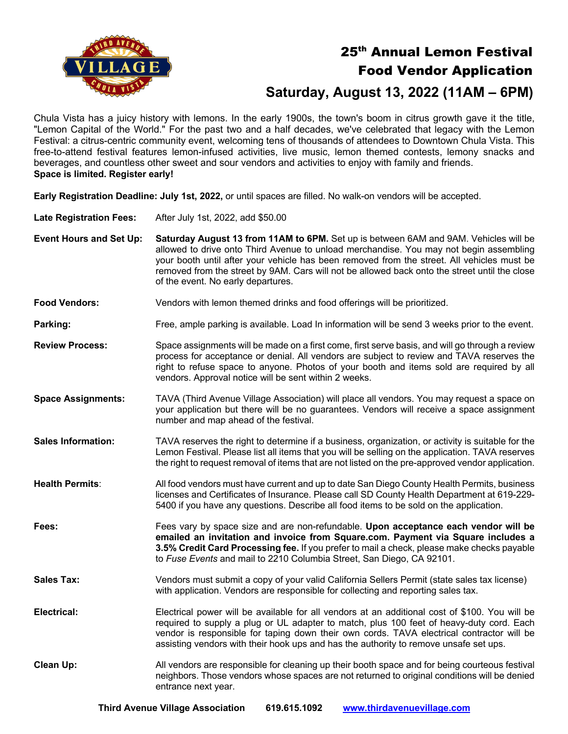

## 25<sup>th</sup> Annual Lemon Festival Food Vendor Application

## **Saturday, August 13, 2022 (11AM – 6PM)** Saturday, August 13,

Chula Vista has a juicy history with lemons. In the early 1900s, the town's boom in citrus growth gave it the title, "Lemon Capital of the World." For the past two and a half decades, we've celebrated that legacy with the Lemon Festival: a citrus-centric community event, welcoming tens of thousands of attendees to Downtown Chula Vista. This free-to-attend festival features lemon-infused activities, live music, lemon themed contests, lemony snacks and beverages, and countless other sweet and sour vendors and activities to enjoy with family and friends. **Space is limited. Register early!**

**Early Registration Deadline: July 1st, 2022,** or until spaces are filled. No walk-on vendors will be accepted.

**Late Registration Fees:** After July 1st, 2022, add \$50.00

**Event Hours and Set Up: Saturday August 13 from 11AM to 6PM.** Set up is between 6AM and 9AM. Vehicles will be allowed to drive onto Third Avenue to unload merchandise. You may not begin assembling your booth until after your vehicle has been removed from the street. All vehicles must be removed from the street by 9AM. Cars will not be allowed back onto the street until the close of the event. No early departures.

**Food Vendors:** Vendors with lemon themed drinks and food offerings will be prioritized.

**Parking:** Free, ample parking is available. Load In information will be send 3 weeks prior to the event.

- **Review Process:** Space assignments will be made on a first come, first serve basis, and will go through a review process for acceptance or denial. All vendors are subject to review and TAVA reserves the right to refuse space to anyone. Photos of your booth and items sold are required by all vendors. Approval notice will be sent within 2 weeks.
- **Space Assignments:** TAVA (Third Avenue Village Association) will place all vendors. You may request a space on your application but there will be no guarantees. Vendors will receive a space assignment number and map ahead of the festival.
- **Sales Information:** TAVA reserves the right to determine if a business, organization, or activity is suitable for the Lemon Festival. Please list all items that you will be selling on the application. TAVA reserves the right to request removal of items that are not listed on the pre-approved vendor application.
- **Health Permits**: All food vendors must have current and up to date San Diego County Health Permits, business licenses and Certificates of Insurance. Please call SD County Health Department at 619-229- 5400 if you have any questions. Describe all food items to be sold on the application.
- **Fees:** Fees vary by space size and are non-refundable. **Upon acceptance each vendor will be emailed an invitation and invoice from Square.com. Payment via Square includes a 3.5% Credit Card Processing fee.** If you prefer to mail a check, please make checks payable to *Fuse Events* and mail to 2210 Columbia Street, San Diego, CA 92101.
- **Sales Tax:** Vendors must submit a copy of your valid California Sellers Permit (state sales tax license) with application. Vendors are responsible for collecting and reporting sales tax.

**Electrical:** Electrical power will be available for all vendors at an additional cost of \$100. You will be required to supply a plug or UL adapter to match, plus 100 feet of heavy-duty cord. Each vendor is responsible for taping down their own cords. TAVA electrical contractor will be assisting vendors with their hook ups and has the authority to remove unsafe set ups.

**Clean Up:** All vendors are responsible for cleaning up their booth space and for being courteous festival neighbors. Those vendors whose spaces are not returned to original conditions will be denied entrance next year.